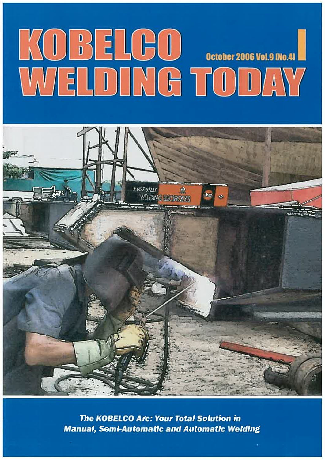# KOBELGO GENERAL



**The KOBELCO Arc: Your Total Solution in Manual, Semi-Automatic and Automatic Welding**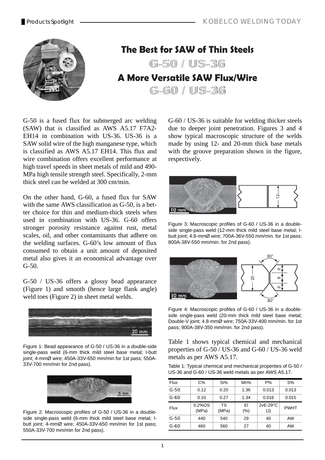

## **The Best for SAW of Thin Steels**

 $-50 / 05 - 36$ 

# **A More Versatile SAW Flux/Wire**

 $G - 60 / U S - 36$ 

G-50 is a fused flux for submerged arc welding (SAW) that is classified as AWS A5.17 F7A2- EH14 in combination with US-36. US-36 is a SAW solid wire of the high manganese type, which is classified as AWS A5.17 EH14. This flux and wire combination offers excellent performance at high travel speeds in sheet metals of mild and 490- MPa high tensile strength steel. Specifically, 2-mm thick steel can be welded at 300 cm/min.

On the other hand, G-60, a fused flux for SAW with the same AWS classification as G-50, is a better choice for thin and medium-thick steels when used in combination with US-36. G-60 offers stronger porosity resistance against rust, metal scales, oil, and other contaminants that adhere on the welding surfaces. G-60's low amount of flux consumed to obtain a unit amount of deposited metal also gives it an economical advantage over G-50.

G-50 / US-36 offers a glossy bead appearance (Figure 1) and smooth (hence large flank angle) weld toes (Figure 2) in sheet metal welds.



Figure 1: Bead appearance of G-50 / US-36 in a double-side single-pass weld (6-mm thick mild steel base metal; I-butt joint; 4-mmØ wire; 450A-33V-650 mm/min for 1st pass; 550A-33V-700 mm/min for 2nd pass).



Figure 2: Macroscopic profiles of G-50 / US-36 in a doubleside single-pass weld (6-mm thick mild steel base metal; Ibutt joint; 4-mmØ wire; 450A-33V-650 mm/min for 1st pass; 550A-33V-700 mm/min for 2nd pass).

G-60 / US-36 is suitable for welding thicker steels due to deeper joint penetration. Figures 3 and 4 show typical macroscopic structure of the welds made by using 12- and 20-mm thick base metals with the groove preparation shown in the figure, respectively.



Figure 3: Macroscopic profiles of G-60 / US-36 in a doubleside single-pass weld (12-mm thick mild steel base metal; Ibutt joint; 4.8-mmØ wire; 700A-36V-550 mm/min. for 1st pass; 800A-38V-550 mm/min. for 2nd pass).



Figure 4: Macroscopic profiles of G-60 / US-36 in a doubleside single-pass weld (20-mm thick mild steel base metal; Double-V joint; 4.8-mmØ wire; 750A-33V-400 mm/min. for 1st pass; 900A-38V-350 mm/min. for 2nd pass).

Table 1 shows typical chemical and mechanical properties of G-50 / US-36 and G-60 / US-36 weld metals as per AWS A5.17.

Table 1: Typical chemical and mechanical properties of G-50 / US-36 and G-60 / US-36 weld metals as per AWS A5.17.

| <b>Flux</b> | $C\%$               | Si%                | Mn%           | $P\%$             | $S\%$       |
|-------------|---------------------|--------------------|---------------|-------------------|-------------|
| $G-50$      | 0.12                | 0.20               | 1.36          | 0.013             | 0.013       |
| $G-60$      | 0.10                | 0.27               | 1.34          | 0.016             | 0.015       |
| Flux        | $0.2\%$ OS<br>(MPa) | <b>TS</b><br>(MPa) | EI<br>$(\% )$ | $2vE-29°C$<br>(J) | <b>PWHT</b> |
| $G-50$      | 440                 | 540                | 29            | 40                | AW          |
| $G-60$      | 460                 | 560                | 27            | 40                | AW          |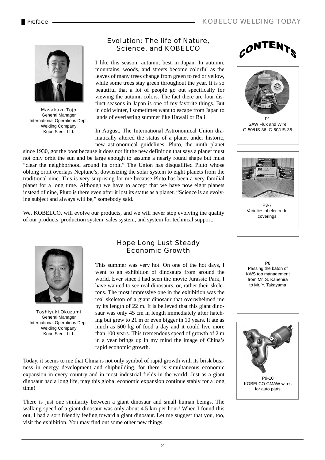

Masakazu Tojo General Manager International Operations Dept. Welding Company Kobe Steel, Ltd.

### Evolution: The life of Nature, Science, and KOBELCO

I like this season, autumn, best in Japan. In autumn, mountains, woods, and streets become colorful as the leaves of many trees change from green to red or yellow, while some trees stay green throughout the year. It is so beautiful that a lot of people go out specifically for viewing the autumn colors. The fact there are four distinct seasons in Japan is one of my favorite things. But in cold winter, I sometimes want to escape from Japan to lands of everlasting summer like Hawaii or Bali.

In August, The International Astronomical Union dramatically altered the status of a planet under historic, new astronomical guidelines. Pluto, the ninth planet

since 1930, got the boot because it does not fit the new definition that says a planet must not only orbit the sun and be large enough to assume a nearly round shape but must "clear the neighborhood around its orbit." The Union has disqualified Pluto whose oblong orbit overlaps Neptune's, downsizing the solar system to eight planets from the traditional nine. This is very surprising for me because Pluto has been a very familial planet for a long time. Although we have to accept that we have now eight planets instead of nine, Pluto is there even after it lost its status as a planet. "Science is an evolving subject and always will be," somebody said.

We, KOBELCO, will evolve our products, and we will never stop evolving the quality of our products, production system, sales system, and system for technical support.



Toshiyuki Okuzumi General Manager International Operations Dept. Welding Company Kobe Steel, Ltd.

### Hope Long Lust Steady Economic Growth

This summer was very hot. On one of the hot days, I went to an exhibition of dinosaurs from around the world. Ever since I had seen the movie Jurassic Park, I have wanted to see real dinosaurs, or, rather their skeletons. The most impressive one in the exhibition was the real skeleton of a giant dinosaur that overwhelmed me by its length of 22 m. It is believed that this giant dinosaur was only 45 cm in length immediately after hatching but grew to 21 m or even bigger in 10 years. It ate as much as 500 kg of food a day and it could live more than 100 years. This tremendous speed of growth of 2 m in a year brings up in my mind the image of China's rapid economic growth.

Today, it seems to me that China is not only symbol of rapid growth with its brisk business in energy development and shipbuilding, for there is simultaneous economic expansion in every country and in most industrial fields in the world. Just as a giant dinosaur had a long life, may this global economic expansion continue stably for a long time!

There is just one similarity between a giant dinosaur and small human beings. The walking speed of a giant dinosaur was only about 4.5 km per hour! When I found this out, I had a sort friendly feeling toward a giant dinosaur. Let me suggest that you, too, visit the exhibition. You may find out some other new things.





D<sub>1</sub> SAW Flux and Wire: SAW Flux and Wire G-50/US-36, G-60/US-36



P3-7 Varieties of electrode coverings

**D<sub>8</sub>** Passing the baton of KWS top management from Mr. S. Kanehira to Mr. Y. Takayama

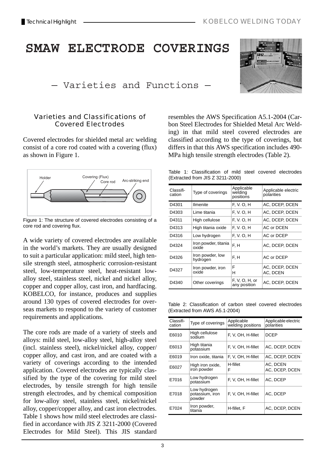# **5MAW ELECTRODE COVERINGS** - Varieties and Functions -



### Varieties and Classifications of Covered Electrodes

Covered electrodes for shielded metal arc welding consist of a core rod coated with a covering (flux) as shown in Figure 1.



Figure 1: The structure of covered electrodes consisting of a core rod and covering flux.

A wide variety of covered electrodes are available in the world's markets. They are usually designed to suit a particular application: mild steel, high tensile strength steel, atmospheric corrosion-resistant steel, low-temperature steel, heat-resistant lowalloy steel, stainless steel, nickel and nickel alloy, copper and copper alloy, cast iron, and hardfacing. KOBELCO, for instance, produces and supplies around 130 types of covered electrodes for overseas markets to respond to the variety of customer requirements and applications.

The core rods are made of a variety of steels and alloys: mild steel, low-alloy steel, high-alloy steel (incl. stainless steel), nickel/nickel alloy, copper/ copper alloy, and cast iron, and are coated with a variety of coverings according to the intended application. Covered electrodes are typically classified by the type of the covering for mild steel electrodes, by tensile strength for high tensile strength electrodes, and by chemical composition for low-alloy steel, stainless steel, nickel/nickel alloy, copper/copper alloy, and cast iron electrodes. Table 1 shows how mild steel electrodes are classified in accordance with JIS Z 3211-2000 (Covered Electrodes for Mild Steel). This JIS standard

resembles the AWS Specification A5.1-2004 (Carbon Steel Electrodes for Shielded Metal Arc Welding) in that mild steel covered electrodes are classified according to the type of coverings, but differs in that this AWS specification includes 490- MPa high tensile strength electrodes (Table 2).

Table 1: Classification of mild steel covered electrodes (Extracted from JIS Z 3211-2000)

| Classifi-<br>cation | Type of coverings             | Applicable<br>welding<br>positions | Applicable electric<br>polarities |
|---------------------|-------------------------------|------------------------------------|-----------------------------------|
| D4301               | Ilmenite                      | F. V. O. H                         | AC, DCEP, DCEN                    |
| D4303               | Lime titania                  | F. V. O. H                         | AC, DCEP, DCEN                    |
| D4311               | High cellulose                | F. V. O. H                         | AC, DCEP, DCEN                    |
| D4313               | High titania oxide            | F. V. O. H                         | <b>AC or DCEN</b>                 |
| D4316               | Low hydrogen                  | F. V. O. H                         | AC or DCEP                        |
| D4324               | Iron powder, titania<br>oxide | F. H                               | AC, DCEP, DCEN                    |
| D4326               | Iron powder, low<br>hydrogen  | F, H                               | AC or DCEP                        |
| D4327               | Iron powder, iron<br>oxide    | F<br>н                             | AC, DCEP, DCEN<br>AC, DCEN        |
| D4340               | Other coverings               | F, V, O, H, or<br>any position     | AC, DCEP, DCEN                    |

Table 2: Classification of carbon steel covered electrodes (Extracted from AWS A5.1-2004)

| Classifi-<br>cation | Type of coverings                         | Applicable<br>welding positions | Applicable electric<br>polarities |
|---------------------|-------------------------------------------|---------------------------------|-----------------------------------|
| E6010               | High cellulose<br>sodium                  | F, V, OH, H-fillet              | <b>DCEP</b>                       |
| E6013               | High titania<br>potassium                 | F, V, OH, H-fillet              | AC, DCEP, DCEN                    |
| E6019               | Iron oxide, titania                       | F, V, OH, H-fillet              | AC, DCEP, DCEN                    |
| E6027               | High iron oxide,<br>iron powder           | H-fillet<br>F                   | AC, DCEN<br>AC, DCEP, DCEN        |
| E7016               | Low hydrogen<br>potassium                 | F, V, OH, H-fillet              | AC, DCEP                          |
| E7018               | Low hydrogen<br>potassium, iron<br>powder | F, V, OH, H-fillet              | AC, DCEP                          |
| E7024               | Iron powder,<br>titania                   | H-fillet. F                     | AC. DCEP. DCEN                    |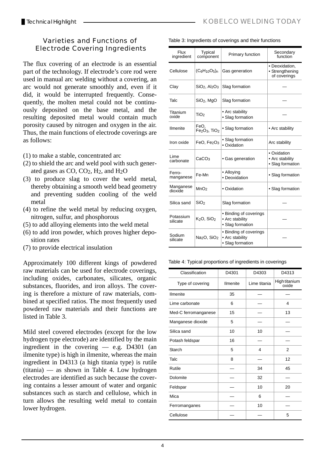### Varieties and Functions of Electrode Covering Ingredients

The flux covering of an electrode is an essential part of the technology. If electrode's core rod were used in manual arc welding without a covering, an arc would not generate smoothly and, even if it did, it would be interrupted frequently. Consequently, the molten metal could not be continuously deposited on the base metal, and the resulting deposited metal would contain much porosity caused by nitrogen and oxygen in the air. Thus, the main functions of electrode coverings are as follows:

- (1) to make a stable, concentrated arc
- (2) to shield the arc and weld pool with such generated gases as  $CO$ ,  $CO<sub>2</sub>$ ,  $H<sub>2</sub>$ , and  $H<sub>2</sub>O$
- (3) to produce slag to cover the weld metal, thereby obtaining a smooth weld bead geometry and preventing sudden cooling of the weld metal
- (4) to refine the weld metal by reducing oxygen, nitrogen, sulfur, and phosphorous
- (5) to add alloying elements into the weld metal
- (6) to add iron powder, which proves higher deposition rates
- (7) to provide electrical insulation

Approximately 100 different kings of powdered raw materials can be used for electrode coverings, including oxides, carbonates, silicates, organic substances, fluorides, and iron alloys. The covering is therefore a mixture of raw materials, combined at specified ratios. The most frequently used powdered raw materials and their functions are listed in Table 3.

Mild steel covered electrodes (except for the low hydrogen type electrode) are identified by the main ingredient in the covering — e.g. D4301 (an ilmenite type) is high in ilmenite, whereas the main ingredient in D4313 (a high titania type) is rutile (titania) — as shown in Table 4. Low hydrogen electrodes are identified as such because the covering contains a lesser amount of water and organic substances such as starch and cellulose, which in turn allows the resulting weld metal to contain lower hydrogen.

| Flux<br>ingredient    | Typical<br>component                    | Primary function                                              | Secondary<br>function                              |
|-----------------------|-----------------------------------------|---------------------------------------------------------------|----------------------------------------------------|
| Cellulose             | $(C_6H_{10}O_5)_n$                      | Gas generation                                                | • Deoxidation,<br>• Strengthening<br>of coverings  |
| Clay                  | $SiO2$ , Al <sub>2</sub> O <sub>3</sub> | Slag formation                                                |                                                    |
| Talc                  | $SiO2$ , MgO                            | Slag formation                                                |                                                    |
| Titanium<br>oxide     | TiO <sub>2</sub>                        | • Arc stability<br>• Slag formation                           |                                                    |
| <b>Ilmenite</b>       | FeO,<br>$Fe2O3$ , TiO <sub>2</sub>      | • Slag formation                                              | • Arc stability                                    |
| Iron oxide            | FeO, $Fe2O3$                            | • Slag formation<br>• Oxidation                               | Arc stability                                      |
| Lime<br>carbonate     | CaCO <sub>3</sub>                       | • Gas generation                                              | • Oxidation<br>• Arc stability<br>• Slag formation |
| Ferro-<br>manganese   | Fe-Mn                                   | • Alloying<br>· Deoxidation                                   | • Slag formation                                   |
| Manganese<br>dioxide  | MnO <sub>2</sub>                        | • Oxidation                                                   | • Slag formation                                   |
| Silica sand           | SiO <sub>2</sub>                        | Slag formation                                                |                                                    |
| Potassium<br>silicate | $K2O$ , SiO <sub>2</sub>                | • Binding of coverings<br>• Arc stability<br>• Slag formation |                                                    |
| Sodium<br>silicate    | Na <sub>2</sub> O, SiO <sub>2</sub>     | • Binding of coverings<br>• Arc stability<br>• Slag formation |                                                    |

Table 4: Typical proportions of ingredients in coverings

| Classification       | D4301    | D4303        | D4313                  |
|----------------------|----------|--------------|------------------------|
| Type of covering     | Ilmenite | Lime titania | High titanium<br>oxide |
| Ilmenite             | 35       |              |                        |
| Lime carbonate       | 6        |              | 4                      |
| Med-C ferromanganese | 15       |              | 13                     |
| Manganese dioxide    | 5        |              |                        |
| Silica sand          | 10       | 10           |                        |
| Potash feldspar      | 16       |              |                        |
| Starch               | 5        | 4            | $\overline{2}$         |
| Talc                 | 8        |              | 12                     |
| Rutile               |          | 34           | 45                     |
| Dolomite             |          | 32           |                        |
| Feldspar             |          | 10           | 20                     |
| Mica                 |          | 6            |                        |
| Ferromanganes        |          | 10           |                        |
| Cellulose            |          |              | 5                      |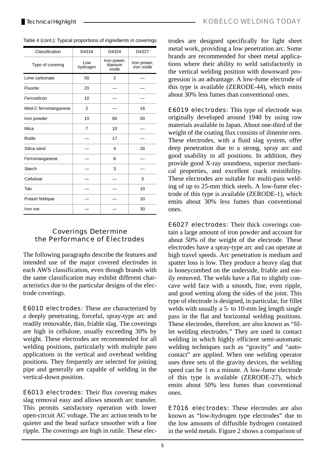| Classification       | D4316           | D4324                            | D4327                     |
|----------------------|-----------------|----------------------------------|---------------------------|
| Type of covering     | Low<br>hydrogen | Iron power,<br>titanium<br>oxide | Iron power,<br>iron oxide |
| Lime carbonate       | 50              | $\overline{2}$                   |                           |
| Fluorite             | 20              |                                  |                           |
| Ferrosilicon         | 10              |                                  |                           |
| Med-C ferromanganese | 2               |                                  | 16                        |
| Iron powder          | 10              | 60                               | 50                        |
| Mica                 | $\overline{7}$  | 10                               |                           |
| Rutile               |                 | 17                               |                           |
| Silica sand          |                 | $\overline{4}$                   | 20                        |
| Ferromanganese       |                 | 8                                |                           |
| <b>Starch</b>        |                 | 3                                |                           |
| Cellulose            |                 |                                  | 3                         |
| Talc                 |                 |                                  | 10                        |
| Potash feldspar      |                 |                                  | 10                        |
| Iron ore             |                 |                                  | 30                        |

Table 4 (cont.): Typical proportions of ingredients in coverings

### Coverings Determine the Performance of Electrodes

The following paragraphs describe the features and intended use of the major covered electrodes in each AWS classification, even though brands with the same classification may exhibit different characteristics due to the particular designs of the electrode coverings.

E6010 electrodes: These are characterized by a deeply penetrating, forceful, spray-type arc and readily removable, thin, friable slag. The coverings are high in cellulose, usually exceeding 30% by weight. These electrodes are recommended for all welding positions, particularly with multiple pass applications in the vertical and overhead welding positions. They frequently are selected for joining pipe and generally are capable of welding in the vertical-down position.

E6013 electrodes: Their flux covering makes slag removal easy and allows smooth arc transfer. This permits satisfactory operation with lower open-circuit AC voltage. The arc action tends to be quieter and the bead surface smoother with a fine ripple. The coverings are high in rutile. These electrodes are designed specifically for light sheet metal work, providing a low penetration arc. Some brands are recommended for sheet metal applications where their ability to weld satisfactorily in the vertical welding position with downward progression is an advantage. A low-fume electrode of this type is available (ZERODE-44), which emits about 30% less fumes than conventional ones.

E6019 electrodes: This type of electrode was originally developed around 1940 by using raw materials available in Japan. About one-third of the weight of the coating flux consists of ilmenite ores. These electrodes, with a fluid slag system, offer deep penetration due to a strong, spray arc and good usability in all positions. In addition, they provide good X-ray soundness, superior mechanical properties, and excellent crack resistibility. These electrodes are suitable for multi-pass welding of up to 25-mm thick steels. A low-fume electrode of this type is available (ZERODE-1), which emits about 30% less fumes than conventional ones.

E6027 electrodes: Their thick coverings contain a large amount of iron powder and account for about 50% of the weight of the electrode. These electrodes have a spray-type arc and can operate at high travel speeds. Arc penetration is medium and spatter loss is low. They produce a heavy slag that is honeycombed on the underside, friable and easily removed. The welds have a flat to slightly concave weld face with a smooth, fine, even ripple, and good wetting along the sides of the joint. This type of electrode is designed, in particular, for fillet welds with usually a 5- to 10-mm leg length single pass in the flat and horizontal welding positions. These electrodes, therefore, are also known as "fillet welding electrodes." They are used in contact welding in which highly efficient semi-automatic welding techniques such as "gravity" and "autocontact" are applied. When one welding operator uses three sets of the gravity devices, the welding speed can be 1 m a minute. A low-fume electrode of this type is available (ZERODE-27), which emits about 50% less fumes than conventional ones.

E7016 electrodes: These electrodes are also known as "low-hydrogen type electrodes" due to the low amounts of diffusible hydrogen contained in the weld metals. Figure 2 shows a comparison of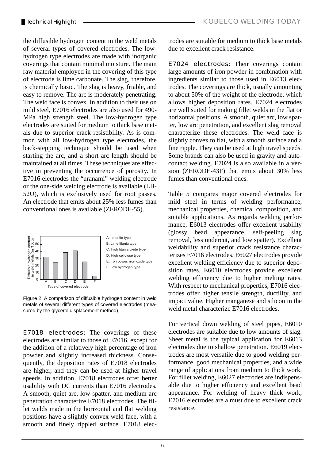the diffusible hydrogen content in the weld metals of several types of covered electrodes. The lowhydrogen type electrodes are made with inorganic coverings that contain minimal moisture. The main raw material employed in the covering of this type of electrode is lime carbonate. The slag, therefore, is chemically basic. The slag is heavy, friable, and easy to remove. The arc is moderately penetrating. The weld face is convex. In addition to their use on mild steel, E7016 electrodes are also used for 490- MPa high strength steel. The low-hydrogen type electrodes are suited for medium to thick base metals due to superior crack resistibility. As is common with all low-hydrogen type electrodes, the back-stepping technique should be used when starting the arc, and a short arc length should be maintained at all times. These techniques are effective in preventing the occurrence of porosity. In E7016 electrodes the "uranami" welding electrode or the one-side welding electrode is available (LB-52U), which is exclusively used for root passes. An electrode that emits about 25% less fumes than conventional ones is available (ZERODE-55).



Figure 2: A comparison of diffusible hydrogen content in weld metals of several different types of covered electrodes (measured by the glycerol displacement method)

E7018 electrodes: The coverings of these electrodes are similar to those of E7016, except for the addition of a relatively high percentage of iron powder and slightly increased thickness. Consequently, the deposition rates of E7018 electrodes are higher, and they can be used at higher travel speeds. In addition, E7018 electrodes offer better usability with DC currents than E7016 electrodes. A smooth, quiet arc, low spatter, and medium arc penetration characterize E7018 electrodes. The fillet welds made in the horizontal and flat welding positions have a slightly convex weld face, with a smooth and finely rippled surface. E7018 electrodes are suitable for medium to thick base metals due to excellent crack resistance.

E7024 electrodes: Their coverings contain large amounts of iron powder in combination with ingredients similar to those used in E6013 electrodes. The coverings are thick, usually amounting to about 50% of the weight of the electrode, which allows higher deposition rates. E7024 electrodes are well suited for making fillet welds in the flat or horizontal positions. A smooth, quiet arc, low spatter, low arc penetration, and excellent slag removal characterize these electrodes. The weld face is slightly convex to flat, with a smooth surface and a fine ripple. They can be used at high travel speeds. Some brands can also be used in gravity and autocontact welding. E7024 is also available in a version (ZERODE-43F) that emits about 30% less fumes than conventional ones.

Table 5 compares major covered electrodes for mild steel in terms of welding performance, mechanical properties, chemical composition, and suitable applications. As regards welding performance, E6013 electrodes offer excellent usability (glossy bead appearance, self-peeling slag removal, less undercut, and low spatter). Excellent weldability and superior crack resistance characterizes E7016 electrodes. E6027 electrodes provide excellent welding efficiency due to superior deposition rates. E6010 electrodes provide excellent welding efficiency due to higher melting rates. With respect to mechanical properties, E7016 electrodes offer higher tensile strength, ductility, and impact value. Higher manganese and silicon in the weld metal characterize E7016 electrodes.

For vertical down welding of steel pipes, E6010 electrodes are suitable due to low amounts of slag. Sheet metal is the typical application for E6013 electrodes due to shallow penetration. E6019 electrodes are most versatile due to good welding performance, good mechanical properties, and a wide range of applications from medium to thick work. For fillet welding, E6027 electrodes are indispensable due to higher efficiency and excellent bead appearance. For welding of heavy thick work, E7016 electrodes are a must due to excellent crack resistance.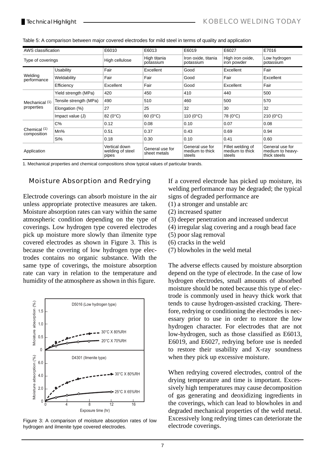| AWS classification                      |                        | E6010                                      | E6013                           | E6019                                        | E6027                                          | E7016                                               |
|-----------------------------------------|------------------------|--------------------------------------------|---------------------------------|----------------------------------------------|------------------------------------------------|-----------------------------------------------------|
| Type of coverings                       |                        | High cellulose                             | High titania<br>potassium       | Iron oxide, titania<br>potassium             | High iron oxide,<br>iron powder                | Low hydrogen<br>potassium                           |
|                                         | Usability              | Fair                                       | Excellent                       | Good                                         | Excellent                                      | Fair                                                |
| Welding<br>performance                  | Weldability            | Fair                                       | Fair                            | Good                                         | Fair                                           | Excellent                                           |
|                                         | Efficiency             | Excellent                                  | Fair                            | Good                                         | Excellent                                      | Fair                                                |
| Mechanical <sup>(1)</sup><br>properties | Yield strength (MPa)   | 420                                        | 450                             | 410                                          | 440                                            | 500                                                 |
|                                         | Tensile strength (MPa) | 490                                        | 510                             | 460                                          | 500                                            | 570                                                 |
|                                         | Elongation (%)         | 27                                         | 25                              | 32                                           | 30                                             | 32                                                  |
|                                         | Impact value (J)       | 82 (0°C)                                   | 60 (0°C)                        | 110 $(0^{\circ}C)$                           | 78 (0°C)                                       | $210(0^{\circ}C)$                                   |
| Chemical (1)<br>composition             | C%                     | 0.12                                       | 0.08                            | 0.10                                         | 0.07                                           | 0.08                                                |
|                                         | Mn%                    | 0.51                                       | 0.37                            | 0.43                                         | 0.69                                           | 0.94                                                |
|                                         | Si%                    | 0.18                                       | 0.30                            | 0.10                                         | 0.41                                           | 0.60                                                |
| Application                             |                        | Vertical down<br>welding of steel<br>pipes | General use for<br>sheet metals | General use for<br>medium to thick<br>steels | Fillet welding of<br>medium to thick<br>steels | General use for<br>medium to heavy-<br>thick steels |

1. Mechanical properties and chemical compositions show typical values of particular brands.

### Moisture Absorption and Redrying

Electrode coverings can absorb moisture in the air unless appropriate protective measures are taken. Moisture absorption rates can vary within the same atmospheric condition depending on the type of coverings. Low hydrogen type covered electrodes pick up moisture more slowly than ilmenite type covered electrodes as shown in Figure 3. This is because the covering of low hydrogen type electrodes contains no organic substance. With the same type of coverings, the moisture absorption rate can vary in relation to the temperature and humidity of the atmosphere as shown in this figure.



Figure 3: A comparison of moisture absorption rates of low hydrogen and ilmenite type covered electrodes.

If a covered electrode has picked up moisture, its welding performance may be degraded; the typical signs of degraded performance are

- (1) a stronger and unstable arc
- (2) increased spatter
- (3) deeper penetration and increased undercut
- (4) irregular slag covering and a rough bead face
- (5) poor slag removal
- (6) cracks in the weld
- (7) blowholes in the weld metal

The adverse effects caused by moisture absorption depend on the type of electrode. In the case of low hydrogen electrodes, small amounts of absorbed moisture should be noted because this type of electrode is commonly used in heavy thick work that tends to cause hydrogen-assisted cracking. Therefore, redrying or conditioning the electrodes is necessary prior to use in order to restore the low hydrogen character. For electrodes that are not low-hydrogen, such as those classified as E6013, E6019, and E6027, redrying before use is needed to restore their usability and X-ray soundness when they pick up excessive moisture.

When redrying covered electrodes, control of the drying temperature and time is important. Excessively high temperatures may cause decomposition of gas generating and deoxidizing ingredients in the coverings, which can lead to blowholes in and degraded mechanical properties of the weld metal. Excessively long redrying times can deteriorate the electrode coverings.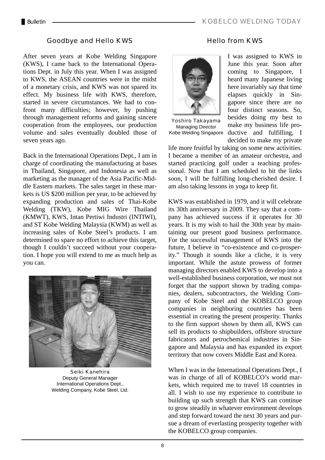### Goodbye and Hello KWS

After seven years at Kobe Welding Singapore (KWS), I came back to the International Operations Dept. in July this year. When I was assigned to KWS, the ASEAN countries were in the midst of a monetary crisis, and KWS was not spared its effect. My business life with KWS, therefore, started in severe circumstances. We had to confront many difficulties; however, by pushing through management reforms and gaining sincere cooperation from the employees, our production volume and sales eventually doubled those of seven years ago.

Back in the International Operations Dept., I am in charge of coordinating the manufacturing at bases in Thailand, Singapore, and Indonesia as well as marketing as the manager of the Asia Pacific-Middle Eastern markets. The sales target in these markets is US \$200 million per year, to be achieved by expanding production and sales of Thai-Kobe Welding (TKW), Kobe MIG Wire Thailand (KMWT), KWS, Intan Pertiwi Industri (INTIWI), and ST Kobe Welding Malaysia (KWM) as well as increasing sales of Kobe Steel's products. I am determined to spare no effort to achieve this target, though I couldn't succeed without your cooperation. I hope you will extend to me as much help as you can.



Seiki Kanehira Deputy General Manager International Operations Dept., Welding Company, Kobe Steel, Ltd.

### Hello from KWS



Yoshiro Takayama Managing Director

I was assigned to KWS in June this year. Soon after coming to Singapore, I heard many Japanese living here invariably say that time elapses quickly in Singapore since there are no four distinct seasons. So, besides doing my best to make my business life pro-Kobe Welding Singapore ductive and fulfilling, I decided to make my private

life more fruitful by taking on some new activities. I became a member of an amateur orchestra, and started practicing golf under a teaching professional. Now that I am scheduled to hit the links soon, I will be fulfilling long-cherished desire. I am also taking lessons in yoga to keep fit.

KWS was established in 1979, and it will celebrate its 30th anniversary in 2009. They say that a company has achieved success if it operates for 30 years. It is my wish to hail the 30th year by maintaining our present good business performance. For the successful management of KWS into the future, I believe in "co-existence and co-prosperity." Though it sounds like a cliche, it is very important. While the astute prowess of former managing directors enabled KWS to develop into a well-established business corporation, we must not forget that the support shown by trading companies, dealers, subcontractors, the Welding Company of Kobe Steel and the KOBELCO group companies in neighboring countries has been essential in creating the present prosperity. Thanks to the firm support shown by them all, KWS can sell its products to shipbuilders, offshore structure fabricators and petrochemical industries in Singapore and Malaysia and has expanded its export territory that now covers Middle East and Korea.

When I was in the International Operations Dept., I was in charge of all of KOBELCO's world markets, which required me to travel 18 countries in all. I wish to use my experience to contribute to building up such strength that KWS can continue to grow steadily in whatever environment develops and step forward toward the next 30 years and pursue a dream of everlasting prosperity together with the KOBELCO group companies.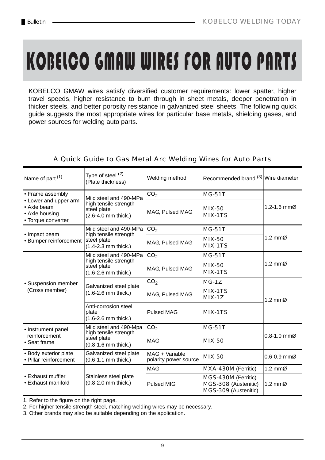# KOBELCO GMAW WIRES FOR AUTO PARTS

KOBELCO GMAW wires satisfy diversified customer requirements: lower spatter, higher travel speeds, higher resistance to burn through in sheet metals, deeper penetration in thicker steels, and better porosity resistance in galvanized steel sheets. The following quick guide suggests the most appropriate wires for particular base metals, shielding gases, and power sources for welding auto parts.

| Name of part <sup>(1)</sup>                                                  | Type of steel (2)<br>(Plate thickness)                          | Welding method                          | Recommended brand (3) Wire diameter                                 |                              |  |
|------------------------------------------------------------------------------|-----------------------------------------------------------------|-----------------------------------------|---------------------------------------------------------------------|------------------------------|--|
| • Frame assembly                                                             | Mild steel and 490-MPa                                          | CO <sub>2</sub>                         | <b>MG-51T</b>                                                       | 1.2-1.6 $mm\%$               |  |
| • Lower and upper arm<br>• Axle beam<br>• Axle housing<br>• Torque converter | high tensile strength<br>steel plate<br>(2.6-4.0 mm thick.)     | MAG, Pulsed MAG                         | <b>MIX-50</b><br><b>MIX-1TS</b>                                     |                              |  |
| • Impact beam                                                                | Mild steel and 490-MPa<br>high tensile strength                 | CO <sub>2</sub>                         | <b>MG-51T</b>                                                       |                              |  |
| • Bumper reinforcement                                                       | steel plate<br>$(1.4 - 2.3$ mm thick.)                          | MAG, Pulsed MAG                         | <b>MIX-50</b><br>MIX-1TS                                            | 1.2 $mm\varnothing$          |  |
|                                                                              | Mild steel and 490-MPa                                          | CO <sub>2</sub>                         | <b>MG-51T</b>                                                       |                              |  |
|                                                                              | high tensile strength<br>steel plate<br>$(1.6 - 2.6$ mm thick.) | MAG, Pulsed MAG                         | <b>MIX-50</b><br>MIX-1TS                                            | 1.2 mm $\varnothing$         |  |
| • Suspension member                                                          | Galvanized steel plate                                          | CO <sub>2</sub>                         | $MG-1Z$                                                             |                              |  |
| (Cross member)                                                               | $(1.6 - 2.6$ mm thick.)                                         | MAG, Pulsed MAG                         | <b>MIX-1TS</b><br>$MIX-1Z$                                          | 1.2 mm $\varnothing$         |  |
|                                                                              | Anti-corrosion steel<br>plate<br>$(1.6 - 2.6$ mm thick.)        | <b>Pulsed MAG</b>                       | <b>MIX-1TS</b>                                                      |                              |  |
| • Instrument panel                                                           | Mild steel and 490-Mpa<br>high tensile strength                 | CO <sub>2</sub>                         | <b>MG-51T</b>                                                       |                              |  |
| reinforcement<br>• Seat frame                                                | steel plate<br>$(0.8-1.6$ mm thick.)                            | <b>MAG</b>                              | <b>MIX-50</b>                                                       | $0.8 - 1.0$ mm $\varnothing$ |  |
| • Body exterior plate<br>• Pillar reinforcement                              | Galvanized steel plate<br>(0.6-1.1 mm thick.)                   | MAG + Variable<br>polarity power source | <b>MIX-50</b>                                                       | $0.6 - 0.9$ mm $\varnothing$ |  |
|                                                                              |                                                                 | <b>MAG</b>                              | MXA-430M (Ferritic)                                                 | 1.2 $mm\varnothing$          |  |
| • Exhaust muffler<br>• Exhaust manifold                                      | Stainless steel plate<br>$(0.8-2.0$ mm thick.)                  | <b>Pulsed MIG</b>                       | MGS-430M (Ferritic)<br>MGS-308 (Austenitic)<br>MGS-309 (Austenitic) | 1.2 $mm\varnothing$          |  |

### A Quick Guide to Gas Metal Arc Welding Wires for Auto Parts

1. Refer to the figure on the right page.

2. For higher tensile strength steel, matching welding wires may be necessary.

3. Other brands may also be suitable depending on the application.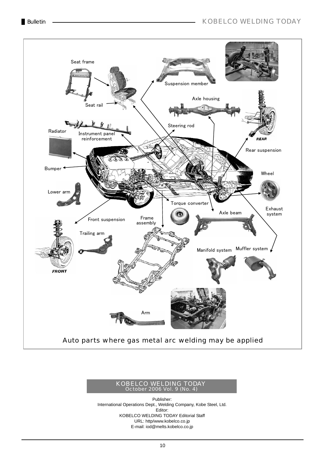

### KOBELCO WELDING TODAY October 2006 Vol. 9 (No. 4)

Publisher: International Operations Dept., Welding Company, Kobe Steel, Ltd. Editor: KOBELCO WELDING TODAY Editorial Staff URL: http/www.kobelco.co.jp E-mail: iod@melts.kobelco.co.jp